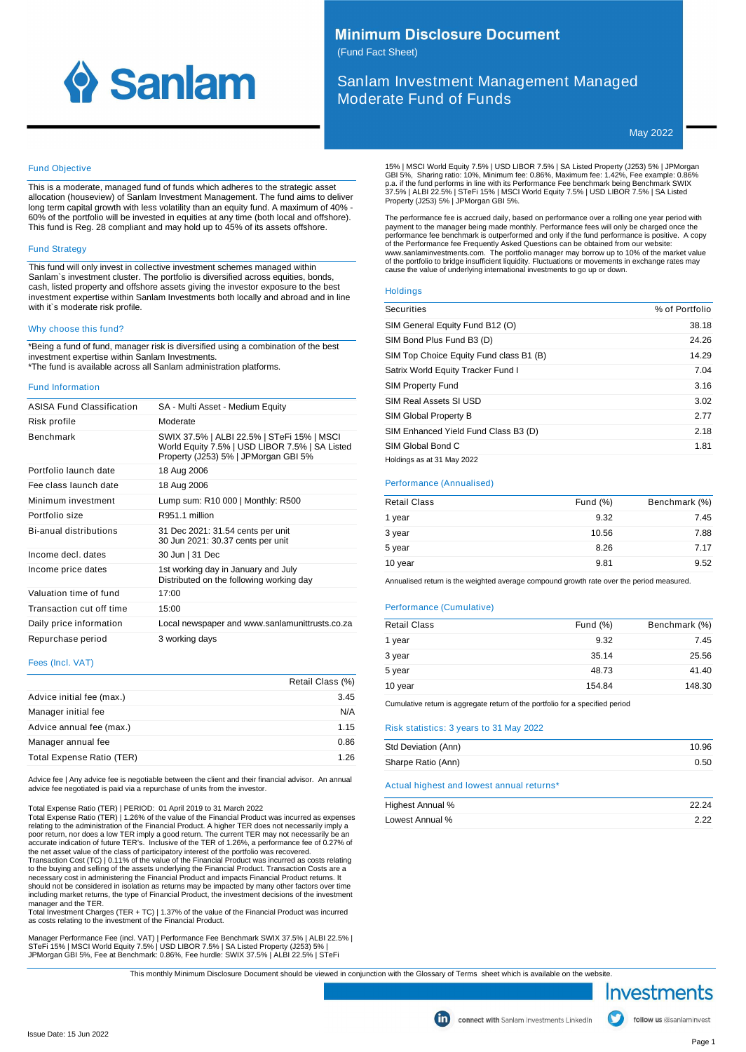

# **Minimum Disclosure Document**

(Fund Fact Sheet)

Sanlam Investment Management Managed Moderate Fund of Funds

May 2022

# Fund Objective

This is a moderate, managed fund of funds which adheres to the strategic asset allocation (houseview) of Sanlam Investment Management. The fund aims to deliver long term capital growth with less volatility than an equity fund. A maximum of 40% - 60% of the portfolio will be invested in equities at any time (both local and offshore). This fund is Reg. 28 compliant and may hold up to 45% of its assets offshore.

# Fund Strategy

This fund will only invest in collective investment schemes managed within Sanlam`s investment cluster. The portfolio is diversified across equities, bonds, cash, listed property and offshore assets giving the investor exposure to the best investment expertise within Sanlam Investments both locally and abroad and in line with it`s moderate risk profile.

#### Why choose this fund?

\*Being a fund of fund, manager risk is diversified using a combination of the best investment expertise within Sanlam Investments. \*The fund is available across all Sanlam administration platforms.

#### Fund Information

| ASISA Fund Classification | SA - Multi Asset - Medium Equity                                                                                                     |
|---------------------------|--------------------------------------------------------------------------------------------------------------------------------------|
| Risk profile              | Moderate                                                                                                                             |
| <b>Benchmark</b>          | SWIX 37.5%   ALBI 22.5%   STeFi 15%   MSCI<br>World Equity 7.5%   USD LIBOR 7.5%   SA Listed<br>Property (J253) 5%   JPMorgan GBI 5% |
| Portfolio launch date     | 18 Aug 2006                                                                                                                          |
| Fee class launch date     | 18 Aug 2006                                                                                                                          |
| Minimum investment        | Lump sum: R10 000   Monthly: R500                                                                                                    |
| Portfolio size            | R951.1 million                                                                                                                       |
| Bi-anual distributions    | 31 Dec 2021: 31.54 cents per unit<br>30 Jun 2021: 30.37 cents per unit                                                               |
| Income decl. dates        | 30 Jun   31 Dec                                                                                                                      |
| Income price dates        | 1st working day in January and July<br>Distributed on the following working day                                                      |
| Valuation time of fund    | 17:00                                                                                                                                |
| Transaction cut off time  | 15:00                                                                                                                                |
| Daily price information   | Local newspaper and www.sanlamunittrusts.co.za                                                                                       |
| Repurchase period         | 3 working days                                                                                                                       |

# Fees (Incl. VAT)

|                           | Retail Class (%) |
|---------------------------|------------------|
| Advice initial fee (max.) | 3.45             |
| Manager initial fee       | N/A              |
| Advice annual fee (max.)  | 1.15             |
| Manager annual fee        | 0.86             |
| Total Expense Ratio (TER) | 1 26             |

Advice fee | Any advice fee is negotiable between the client and their financial advisor. An annual advice fee negotiated is paid via a repurchase of units from the investor.

Total Expense Ratio (TER) | PERIOD: 01 April 2019 to 31 March 2022 Total Expense Ratio (TER) | 1.26% of the value of the Financial Product was incurred as expenses

relating to the administration of the Financial Product. A higher TER does not necessarily imply a poor return, nor does a low TER imply a good return. The current TER may not necessarily be an<br>accurate indication of future TER's. Inclusive of the TER of 1.26%, a performance fee of 0.27% of<br>the net asset value of the cl to the buying and selling of the assets underlying the Financial Product. Transaction Costs are a<br>necessary cost in administering the Financial Product and impacts Financial Product returns. It<br>should not be considered in manager and the TER.

Total Investment Charges (TER + TC) | 1.37% of the value of the Financial Product was incurred as costs relating to the investment of the Financial Product.

Manager Performance Fee (incl. VAT) | Performance Fee Benchmark SWIX 37.5% | ALBI 22.5% |<br>STeFi 15% | MSCI World Equity 7.5% | USD LIBOR 7.5% | SA Listed Property (J253) 5% |<br>JPMorgan GBI 5%, Fee at Benchmark: 0.86%, Fee h

15% | MSCI World Equity 7.5% | USD LIBOR 7.5% | SA Listed Property (J253) 5% | JPMorgan<br>GBI 5%, Sharing ratio: 10%, Minimum fee: 0.86%, Maximum fee: 1.42%, Fee example: 0.86%<br>p.a. if the fund performs in line with its Perf

The performance fee is accrued daily, based on performance over a rolling one year period with payment to the manager being made monthly. Performance fees will only be charged once the<br>performance fee benchmark is outperformed and only if the fund performance is positive. A copy<br>of the Performance fee Frequently Ask of the portfolio to bridge insufficient liquidity. Fluctuations or movements in exchange rates may cause the value of underlying international investments to go up or down.

#### **Holdings**

| <b>Securities</b>                       | % of Portfolio |
|-----------------------------------------|----------------|
| SIM General Equity Fund B12 (O)         | 38.18          |
| SIM Bond Plus Fund B3 (D)               | 24.26          |
| SIM Top Choice Equity Fund class B1 (B) | 14.29          |
| Satrix World Equity Tracker Fund I      | 7.04           |
| <b>SIM Property Fund</b>                | 3.16           |
| SIM Real Assets SI USD                  | 3.02           |
| SIM Global Property B                   | 2.77           |
| SIM Enhanced Yield Fund Class B3 (D)    | 2.18           |
| SIM Global Bond C                       | 1.81           |
| Holdings as at 31 May 2022              |                |

# Performance (Annualised)

| <b>Retail Class</b> | Fund $(\%)$ | Benchmark (%) |
|---------------------|-------------|---------------|
| 1 year              | 9.32        | 7.45          |
| 3 year              | 10.56       | 7.88          |
| 5 year              | 8.26        | 7.17          |
| 10 year             | 9.81        | 9.52          |

Annualised return is the weighted average compound growth rate over the period measured.

# Performance (Cumulative)

| <b>Retail Class</b> | Fund $(\%)$ | Benchmark (%) |
|---------------------|-------------|---------------|
| 1 year              | 9.32        | 7.45          |
| 3 year              | 35.14       | 25.56         |
| 5 year              | 48.73       | 41.40         |
| 10 year             | 154.84      | 148.30        |

Cumulative return is aggregate return of the portfolio for a specified period

#### Risk statistics: 3 years to 31 May 2022

| 10.96 |
|-------|
| 0.50  |
|       |

|  |  | Actual highest and lowest annual returns* |  |
|--|--|-------------------------------------------|--|
|  |  |                                           |  |

| Highest Annual % | 22.24 |
|------------------|-------|
| Lowest Annual %  | 2.22  |

This monthly Minimum Disclosure Document should be viewed in conjunction with the Glossary of Terms sheet which is available on the website.

Investments